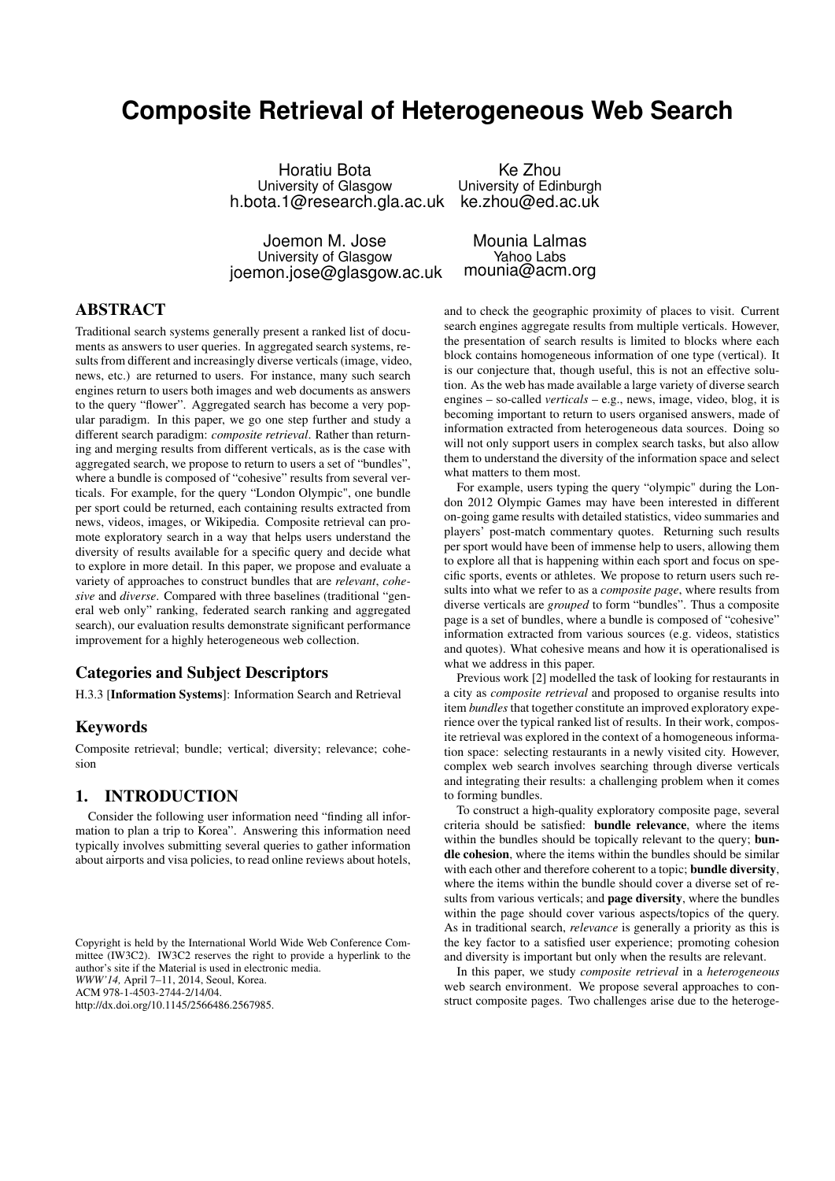# **Composite Retrieval of Heterogeneous Web Search**

Horatiu Bota University of Glasgow h.bota.1@research.gla.ac.uk

Joemon M. Jose University of Glasgow joemon.jose@glasgow.ac.uk

Ke Zhou University of Edinburgh ke.zhou@ed.ac.uk

Mounia Lalmas Yahoo Labs mounia@acm.org

# ABSTRACT

Traditional search systems generally present a ranked list of documents as answers to user queries. In aggregated search systems, results from different and increasingly diverse verticals (image, video, news, etc.) are returned to users. For instance, many such search engines return to users both images and web documents as answers to the query "flower". Aggregated search has become a very popular paradigm. In this paper, we go one step further and study a different search paradigm: *composite retrieval*. Rather than returning and merging results from different verticals, as is the case with aggregated search, we propose to return to users a set of "bundles", where a bundle is composed of "cohesive" results from several verticals. For example, for the query "London Olympic", one bundle per sport could be returned, each containing results extracted from news, videos, images, or Wikipedia. Composite retrieval can promote exploratory search in a way that helps users understand the diversity of results available for a specific query and decide what to explore in more detail. In this paper, we propose and evaluate a variety of approaches to construct bundles that are *relevant*, *cohesive* and *diverse*. Compared with three baselines (traditional "general web only" ranking, federated search ranking and aggregated search), our evaluation results demonstrate significant performance improvement for a highly heterogeneous web collection.

# Categories and Subject Descriptors

H.3.3 [Information Systems]: Information Search and Retrieval

# Keywords

Composite retrieval; bundle; vertical; diversity; relevance; cohesion

# 1. INTRODUCTION

Consider the following user information need "finding all information to plan a trip to Korea". Answering this information need typically involves submitting several queries to gather information about airports and visa policies, to read online reviews about hotels,

Copyright is held by the International World Wide Web Conference Committee (IW3C2). IW3C2 reserves the right to provide a hyperlink to the author's site if the Material is used in electronic media. *WWW'14,* April 7–11, 2014, Seoul, Korea. ACM 978-1-4503-2744-2/14/04. http://dx.doi.org/10.1145/2566486.2567985.

and to check the geographic proximity of places to visit. Current search engines aggregate results from multiple verticals. However, the presentation of search results is limited to blocks where each block contains homogeneous information of one type (vertical). It is our conjecture that, though useful, this is not an effective solution. As the web has made available a large variety of diverse search engines – so-called *verticals* – e.g., news, image, video, blog, it is becoming important to return to users organised answers, made of information extracted from heterogeneous data sources. Doing so will not only support users in complex search tasks, but also allow them to understand the diversity of the information space and select what matters to them most.

For example, users typing the query "olympic" during the London 2012 Olympic Games may have been interested in different on-going game results with detailed statistics, video summaries and players' post-match commentary quotes. Returning such results per sport would have been of immense help to users, allowing them to explore all that is happening within each sport and focus on specific sports, events or athletes. We propose to return users such results into what we refer to as a *composite page*, where results from diverse verticals are *grouped* to form "bundles". Thus a composite page is a set of bundles, where a bundle is composed of "cohesive" information extracted from various sources (e.g. videos, statistics and quotes). What cohesive means and how it is operationalised is what we address in this paper.

Previous work [2] modelled the task of looking for restaurants in a city as *composite retrieval* and proposed to organise results into item *bundles* that together constitute an improved exploratory experience over the typical ranked list of results. In their work, composite retrieval was explored in the context of a homogeneous information space: selecting restaurants in a newly visited city. However, complex web search involves searching through diverse verticals and integrating their results: a challenging problem when it comes to forming bundles.

To construct a high-quality exploratory composite page, several criteria should be satisfied: bundle relevance, where the items within the bundles should be topically relevant to the query; **bun**dle cohesion, where the items within the bundles should be similar with each other and therefore coherent to a topic; **bundle diversity**, where the items within the bundle should cover a diverse set of results from various verticals; and **page diversity**, where the bundles within the page should cover various aspects/topics of the query. As in traditional search, *relevance* is generally a priority as this is the key factor to a satisfied user experience; promoting cohesion and diversity is important but only when the results are relevant.

In this paper, we study *composite retrieval* in a *heterogeneous* web search environment. We propose several approaches to construct composite pages. Two challenges arise due to the heteroge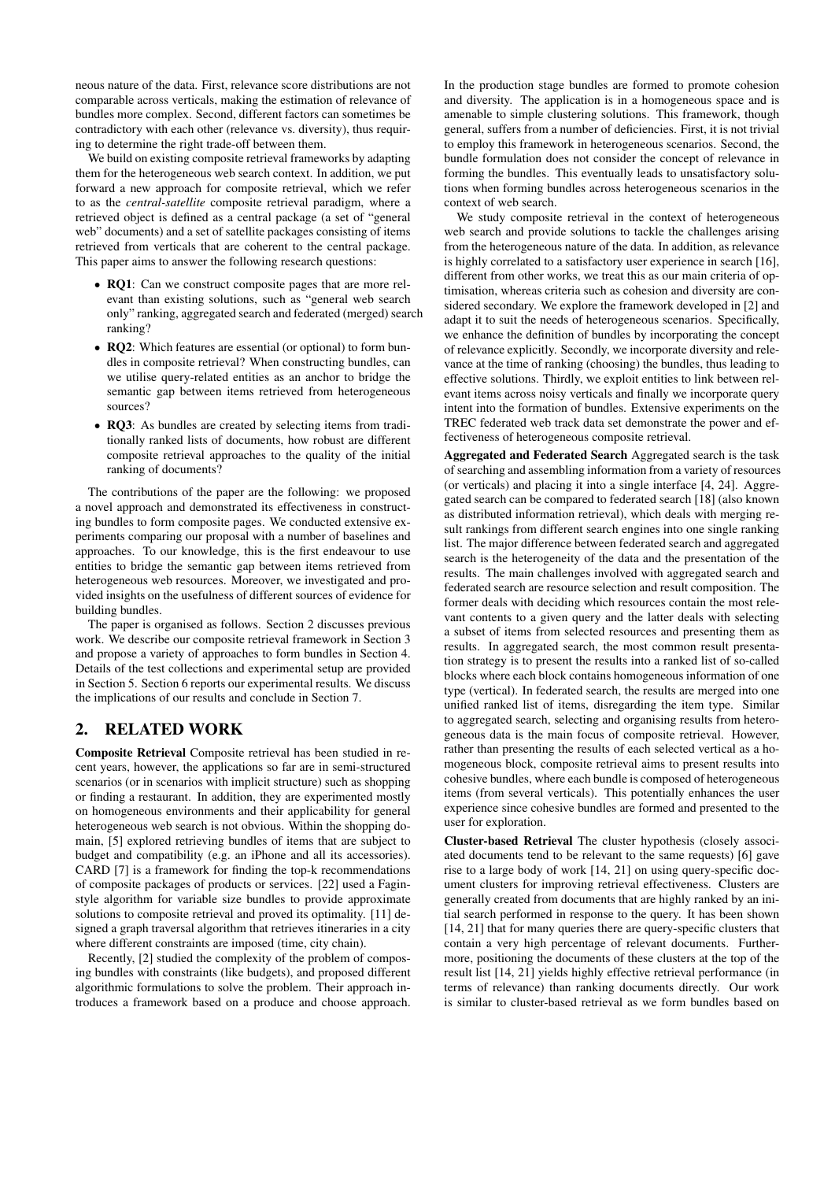neous nature of the data. First, relevance score distributions are not comparable across verticals, making the estimation of relevance of bundles more complex. Second, different factors can sometimes be contradictory with each other (relevance vs. diversity), thus requiring to determine the right trade-off between them.

We build on existing composite retrieval frameworks by adapting them for the heterogeneous web search context. In addition, we put forward a new approach for composite retrieval, which we refer to as the *central-satellite* composite retrieval paradigm, where a retrieved object is defined as a central package (a set of "general web" documents) and a set of satellite packages consisting of items retrieved from verticals that are coherent to the central package. This paper aims to answer the following research questions:

- RQ1: Can we construct composite pages that are more relevant than existing solutions, such as "general web search only" ranking, aggregated search and federated (merged) search ranking?
- ' RQ2: Which features are essential (or optional) to form bundles in composite retrieval? When constructing bundles, can we utilise query-related entities as an anchor to bridge the semantic gap between items retrieved from heterogeneous sources?
- ' RQ3: As bundles are created by selecting items from traditionally ranked lists of documents, how robust are different composite retrieval approaches to the quality of the initial ranking of documents?

The contributions of the paper are the following: we proposed a novel approach and demonstrated its effectiveness in constructing bundles to form composite pages. We conducted extensive experiments comparing our proposal with a number of baselines and approaches. To our knowledge, this is the first endeavour to use entities to bridge the semantic gap between items retrieved from heterogeneous web resources. Moreover, we investigated and provided insights on the usefulness of different sources of evidence for building bundles.

The paper is organised as follows. Section 2 discusses previous work. We describe our composite retrieval framework in Section 3 and propose a variety of approaches to form bundles in Section 4. Details of the test collections and experimental setup are provided in Section 5. Section 6 reports our experimental results. We discuss the implications of our results and conclude in Section 7.

# 2. RELATED WORK

Composite Retrieval Composite retrieval has been studied in recent years, however, the applications so far are in semi-structured scenarios (or in scenarios with implicit structure) such as shopping or finding a restaurant. In addition, they are experimented mostly on homogeneous environments and their applicability for general heterogeneous web search is not obvious. Within the shopping domain, [5] explored retrieving bundles of items that are subject to budget and compatibility (e.g. an iPhone and all its accessories). CARD [7] is a framework for finding the top-k recommendations of composite packages of products or services. [22] used a Faginstyle algorithm for variable size bundles to provide approximate solutions to composite retrieval and proved its optimality. [11] designed a graph traversal algorithm that retrieves itineraries in a city where different constraints are imposed (time, city chain).

Recently, [2] studied the complexity of the problem of composing bundles with constraints (like budgets), and proposed different algorithmic formulations to solve the problem. Their approach introduces a framework based on a produce and choose approach.

In the production stage bundles are formed to promote cohesion and diversity. The application is in a homogeneous space and is amenable to simple clustering solutions. This framework, though general, suffers from a number of deficiencies. First, it is not trivial to employ this framework in heterogeneous scenarios. Second, the bundle formulation does not consider the concept of relevance in forming the bundles. This eventually leads to unsatisfactory solutions when forming bundles across heterogeneous scenarios in the context of web search.

We study composite retrieval in the context of heterogeneous web search and provide solutions to tackle the challenges arising from the heterogeneous nature of the data. In addition, as relevance is highly correlated to a satisfactory user experience in search [16], different from other works, we treat this as our main criteria of optimisation, whereas criteria such as cohesion and diversity are considered secondary. We explore the framework developed in [2] and adapt it to suit the needs of heterogeneous scenarios. Specifically, we enhance the definition of bundles by incorporating the concept of relevance explicitly. Secondly, we incorporate diversity and relevance at the time of ranking (choosing) the bundles, thus leading to effective solutions. Thirdly, we exploit entities to link between relevant items across noisy verticals and finally we incorporate query intent into the formation of bundles. Extensive experiments on the TREC federated web track data set demonstrate the power and effectiveness of heterogeneous composite retrieval.

Aggregated and Federated Search Aggregated search is the task of searching and assembling information from a variety of resources (or verticals) and placing it into a single interface [4, 24]. Aggregated search can be compared to federated search [18] (also known as distributed information retrieval), which deals with merging result rankings from different search engines into one single ranking list. The major difference between federated search and aggregated search is the heterogeneity of the data and the presentation of the results. The main challenges involved with aggregated search and federated search are resource selection and result composition. The former deals with deciding which resources contain the most relevant contents to a given query and the latter deals with selecting a subset of items from selected resources and presenting them as results. In aggregated search, the most common result presentation strategy is to present the results into a ranked list of so-called blocks where each block contains homogeneous information of one type (vertical). In federated search, the results are merged into one unified ranked list of items, disregarding the item type. Similar to aggregated search, selecting and organising results from heterogeneous data is the main focus of composite retrieval. However, rather than presenting the results of each selected vertical as a homogeneous block, composite retrieval aims to present results into cohesive bundles, where each bundle is composed of heterogeneous items (from several verticals). This potentially enhances the user experience since cohesive bundles are formed and presented to the user for exploration.

Cluster-based Retrieval The cluster hypothesis (closely associated documents tend to be relevant to the same requests) [6] gave rise to a large body of work [14, 21] on using query-specific document clusters for improving retrieval effectiveness. Clusters are generally created from documents that are highly ranked by an initial search performed in response to the query. It has been shown [14, 21] that for many queries there are query-specific clusters that contain a very high percentage of relevant documents. Furthermore, positioning the documents of these clusters at the top of the result list [14, 21] yields highly effective retrieval performance (in terms of relevance) than ranking documents directly. Our work is similar to cluster-based retrieval as we form bundles based on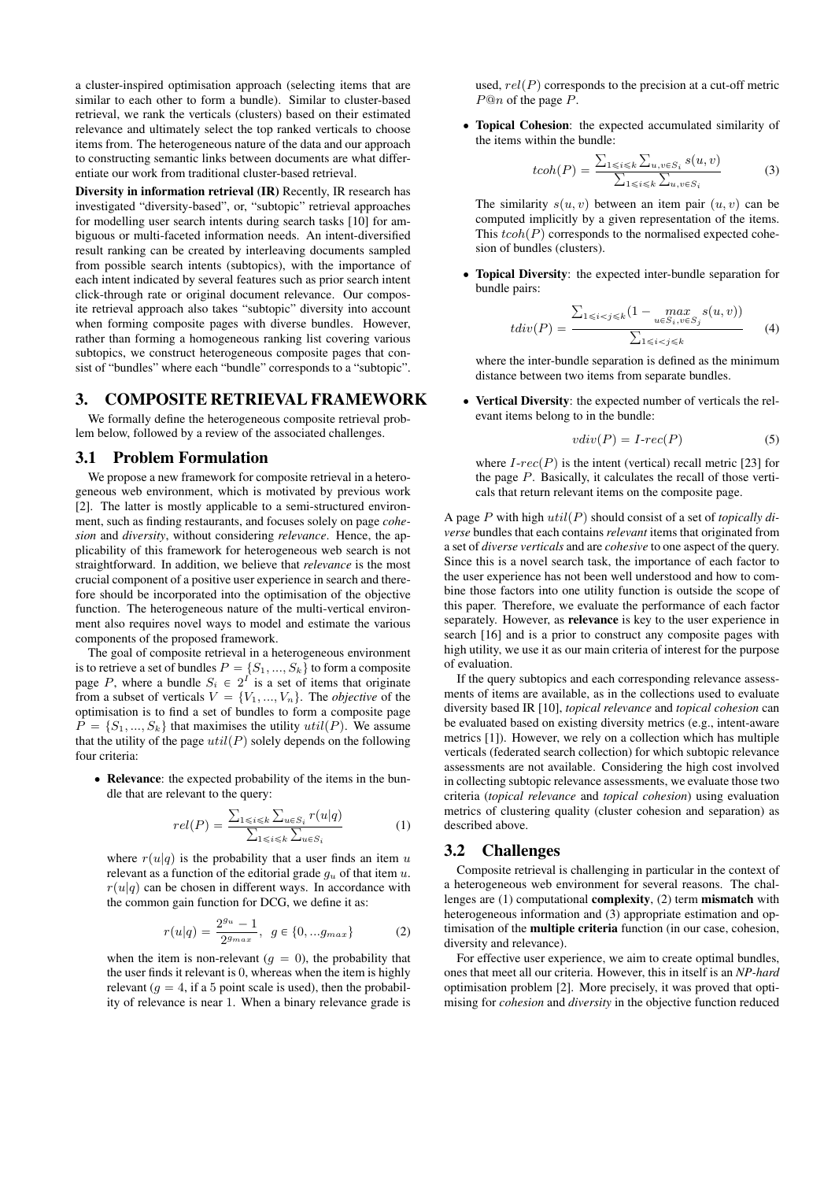a cluster-inspired optimisation approach (selecting items that are similar to each other to form a bundle). Similar to cluster-based retrieval, we rank the verticals (clusters) based on their estimated relevance and ultimately select the top ranked verticals to choose items from. The heterogeneous nature of the data and our approach to constructing semantic links between documents are what differentiate our work from traditional cluster-based retrieval.

Diversity in information retrieval (IR) Recently, IR research has investigated "diversity-based", or, "subtopic" retrieval approaches for modelling user search intents during search tasks [10] for ambiguous or multi-faceted information needs. An intent-diversified result ranking can be created by interleaving documents sampled from possible search intents (subtopics), with the importance of each intent indicated by several features such as prior search intent click-through rate or original document relevance. Our composite retrieval approach also takes "subtopic" diversity into account when forming composite pages with diverse bundles. However, rather than forming a homogeneous ranking list covering various subtopics, we construct heterogeneous composite pages that consist of "bundles" where each "bundle" corresponds to a "subtopic".

#### 3. COMPOSITE RETRIEVAL FRAMEWORK

We formally define the heterogeneous composite retrieval problem below, followed by a review of the associated challenges.

### 3.1 Problem Formulation

We propose a new framework for composite retrieval in a heterogeneous web environment, which is motivated by previous work [2]. The latter is mostly applicable to a semi-structured environment, such as finding restaurants, and focuses solely on page *cohesion* and *diversity*, without considering *relevance*. Hence, the applicability of this framework for heterogeneous web search is not straightforward. In addition, we believe that *relevance* is the most crucial component of a positive user experience in search and therefore should be incorporated into the optimisation of the objective function. The heterogeneous nature of the multi-vertical environment also requires novel ways to model and estimate the various components of the proposed framework.

The goal of composite retrieval in a heterogeneous environment is to retrieve a set of bundles  $P = \{S_1, ..., S_k\}$  to form a composite page P, where a bundle  $S_i \in 2^I$  is a set of items that originate from a subset of verticals  $V = \{V_1, ..., V_n\}$ . The *objective* of the optimisation is to find a set of bundles to form a composite page  $P = \{S_1, ..., S_k\}$  that maximises the utility  $util(P)$ . We assume that the utility of the page  $util(P)$  solely depends on the following four criteria:

• Relevance: the expected probability of the items in the bundle that are relevant to the query: ř

$$
rel(P) = \frac{\sum_{1 \le i \le k} \sum_{u \in S_i} r(u|q)}{\sum_{1 \le i \le k} \sum_{u \in S_i} (1)}
$$
 (1)

where  $r(u|q)$  is the probability that a user finds an item u relevant as a function of the editorial grade  $g_u$  of that item u.  $r(u|q)$  can be chosen in different ways. In accordance with the common gain function for DCG, we define it as:

$$
r(u|q) = \frac{2^{g_u} - 1}{2^{g_{max}}}, \ g \in \{0, ...g_{max}\}
$$
 (2)

when the item is non-relevant  $(g = 0)$ , the probability that the user finds it relevant is 0, whereas when the item is highly relevant ( $q = 4$ , if a 5 point scale is used), then the probability of relevance is near 1. When a binary relevance grade is used,  $rel(P)$  corresponds to the precision at a cut-off metric  $P@n$  of the page  $P$ .

' Topical Cohesion: the expected accumulated similarity of the items within the bundle: ř

$$
tcoh(P) = \frac{\sum_{1 \le i \le k} \sum_{u,v \in S_i} s(u,v)}{\sum_{1 \le i \le k} \sum_{u,v \in S_i}} \tag{3}
$$

The similarity  $s(u, v)$  between an item pair  $(u, v)$  can be computed implicitly by a given representation of the items. This  $tcoh(P)$  corresponds to the normalised expected cohesion of bundles (clusters).

' Topical Diversity: the expected inter-bundle separation for bundle pairs:

$$
tdiv(P) = \frac{\sum_{1 \le i < j \le k} (1 - \max_{u \in S_i, v \in S_j} s(u, v))}{\sum_{1 \le i < j \le k} (4)}
$$

where the inter-bundle separation is defined as the minimum distance between two items from separate bundles.

• Vertical Diversity: the expected number of verticals the relevant items belong to in the bundle:

$$
vdiv(P) = I \text{-}rec(P) \tag{5}
$$

where  $I-rec(P)$  is the intent (vertical) recall metric [23] for the page  $P$ . Basically, it calculates the recall of those verticals that return relevant items on the composite page.

A page P with high  $util(P)$  should consist of a set of *topically diverse* bundles that each contains *relevant* items that originated from a set of *diverse verticals* and are *cohesive* to one aspect of the query. Since this is a novel search task, the importance of each factor to the user experience has not been well understood and how to combine those factors into one utility function is outside the scope of this paper. Therefore, we evaluate the performance of each factor separately. However, as relevance is key to the user experience in search [16] and is a prior to construct any composite pages with high utility, we use it as our main criteria of interest for the purpose of evaluation.

If the query subtopics and each corresponding relevance assessments of items are available, as in the collections used to evaluate diversity based IR [10], *topical relevance* and *topical cohesion* can be evaluated based on existing diversity metrics (e.g., intent-aware metrics [1]). However, we rely on a collection which has multiple verticals (federated search collection) for which subtopic relevance assessments are not available. Considering the high cost involved in collecting subtopic relevance assessments, we evaluate those two criteria (*topical relevance* and *topical cohesion*) using evaluation metrics of clustering quality (cluster cohesion and separation) as described above.

## 3.2 Challenges

Composite retrieval is challenging in particular in the context of a heterogeneous web environment for several reasons. The challenges are (1) computational complexity, (2) term mismatch with heterogeneous information and (3) appropriate estimation and optimisation of the multiple criteria function (in our case, cohesion, diversity and relevance).

For effective user experience, we aim to create optimal bundles, ones that meet all our criteria. However, this in itself is an *NP-hard* optimisation problem [2]. More precisely, it was proved that optimising for *cohesion* and *diversity* in the objective function reduced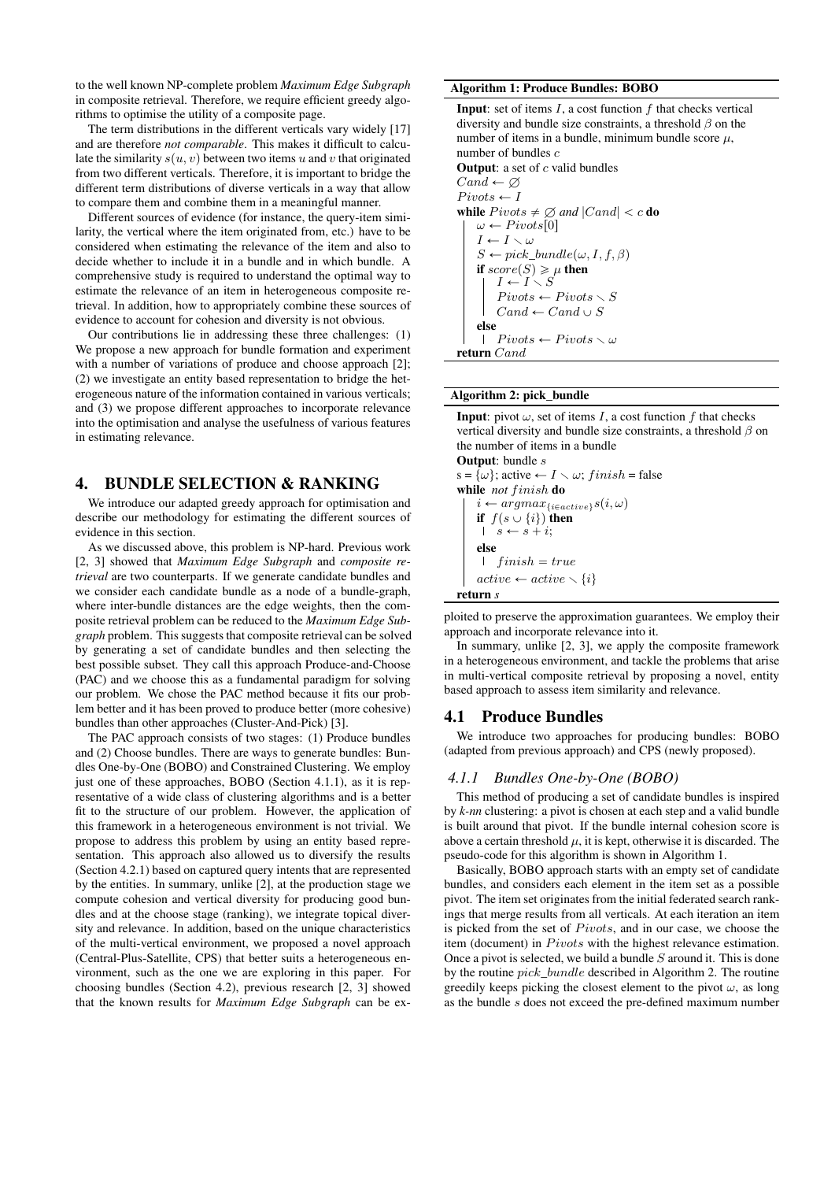to the well known NP-complete problem *Maximum Edge Subgraph* in composite retrieval. Therefore, we require efficient greedy algorithms to optimise the utility of a composite page.

The term distributions in the different verticals vary widely [17] and are therefore *not comparable*. This makes it difficult to calculate the similarity  $s(u, v)$  between two items u and v that originated from two different verticals. Therefore, it is important to bridge the different term distributions of diverse verticals in a way that allow to compare them and combine them in a meaningful manner.

Different sources of evidence (for instance, the query-item similarity, the vertical where the item originated from, etc.) have to be considered when estimating the relevance of the item and also to decide whether to include it in a bundle and in which bundle. A comprehensive study is required to understand the optimal way to estimate the relevance of an item in heterogeneous composite retrieval. In addition, how to appropriately combine these sources of evidence to account for cohesion and diversity is not obvious.

Our contributions lie in addressing these three challenges: (1) We propose a new approach for bundle formation and experiment with a number of variations of produce and choose approach [2]; (2) we investigate an entity based representation to bridge the heterogeneous nature of the information contained in various verticals; and (3) we propose different approaches to incorporate relevance into the optimisation and analyse the usefulness of various features in estimating relevance.

## 4. BUNDLE SELECTION & RANKING

We introduce our adapted greedy approach for optimisation and describe our methodology for estimating the different sources of evidence in this section.

As we discussed above, this problem is NP-hard. Previous work [2, 3] showed that *Maximum Edge Subgraph* and *composite retrieval* are two counterparts. If we generate candidate bundles and we consider each candidate bundle as a node of a bundle-graph, where inter-bundle distances are the edge weights, then the composite retrieval problem can be reduced to the *Maximum Edge Subgraph* problem. This suggests that composite retrieval can be solved by generating a set of candidate bundles and then selecting the best possible subset. They call this approach Produce-and-Choose (PAC) and we choose this as a fundamental paradigm for solving our problem. We chose the PAC method because it fits our problem better and it has been proved to produce better (more cohesive) bundles than other approaches (Cluster-And-Pick) [3].

The PAC approach consists of two stages: (1) Produce bundles and (2) Choose bundles. There are ways to generate bundles: Bundles One-by-One (BOBO) and Constrained Clustering. We employ just one of these approaches, BOBO (Section 4.1.1), as it is representative of a wide class of clustering algorithms and is a better fit to the structure of our problem. However, the application of this framework in a heterogeneous environment is not trivial. We propose to address this problem by using an entity based representation. This approach also allowed us to diversify the results (Section 4.2.1) based on captured query intents that are represented by the entities. In summary, unlike [2], at the production stage we compute cohesion and vertical diversity for producing good bundles and at the choose stage (ranking), we integrate topical diversity and relevance. In addition, based on the unique characteristics of the multi-vertical environment, we proposed a novel approach (Central-Plus-Satellite, CPS) that better suits a heterogeneous environment, such as the one we are exploring in this paper. For choosing bundles (Section 4.2), previous research [2, 3] showed that the known results for *Maximum Edge Subgraph* can be ex-

#### Algorithm 1: Produce Bundles: BOBO

**Input:** set of items  $I$ , a cost function  $f$  that checks vertical diversity and bundle size constraints, a threshold  $\beta$  on the number of items in a bundle, minimum bundle score  $\mu$ , number of bundles c **Output:** a set of  $c$  valid bundles  $\vec{Cand} \leftarrow \varnothing$  $Pivots \leftarrow P$ while  $Pivots \neq \emptyset$  and  $|Cand| < c$  do  $\omega \leftarrow Pivots[0]$  $I \leftarrow I \smallsetminus \omega$  $S \leftarrow pick\_bundle(\omega, I, f, \beta)$ if  $score(S) \geq \mu$  then  $I \leftarrow I \setminus S$  $Pivots \leftarrow Pivots \setminus S$  $Cand \leftarrow Cand \cup S$ else  $\vdash Pivots \leftarrow Pivots \setminus \omega$ return Cand

## Algorithm 2: pick\_bundle

**Input:** pivot  $\omega$ , set of items I, a cost function f that checks vertical diversity and bundle size constraints, a threshold  $\beta$  on the number of items in a bundle **Output:** bundle s s = { $\omega$ }; active  $\leftarrow I \setminus \omega$ ; finish = false while *not* finish **do**  $i \leftarrow argmax_{\{i \in active\}} s(i, \omega)$ if  $f(s \cup \{i\})$  then  $s \leftarrow s + i;$ else  $\int$  finish = true  $active \leftarrow active \setminus \{i\}$ return *s*

ploited to preserve the approximation guarantees. We employ their approach and incorporate relevance into it.

In summary, unlike [2, 3], we apply the composite framework in a heterogeneous environment, and tackle the problems that arise in multi-vertical composite retrieval by proposing a novel, entity based approach to assess item similarity and relevance.

#### 4.1 Produce Bundles

We introduce two approaches for producing bundles: BOBO (adapted from previous approach) and CPS (newly proposed).

#### *4.1.1 Bundles One-by-One (BOBO)*

This method of producing a set of candidate bundles is inspired by *k-nn* clustering: a pivot is chosen at each step and a valid bundle is built around that pivot. If the bundle internal cohesion score is above a certain threshold  $\mu$ , it is kept, otherwise it is discarded. The pseudo-code for this algorithm is shown in Algorithm 1.

Basically, BOBO approach starts with an empty set of candidate bundles, and considers each element in the item set as a possible pivot. The item set originates from the initial federated search rankings that merge results from all verticals. At each iteration an item is picked from the set of  $Pivots$ , and in our case, we choose the item (document) in Pivots with the highest relevance estimation. Once a pivot is selected, we build a bundle  $S$  around it. This is done by the routine pick\_bundle described in Algorithm 2. The routine greedily keeps picking the closest element to the pivot  $\omega$ , as long as the bundle s does not exceed the pre-defined maximum number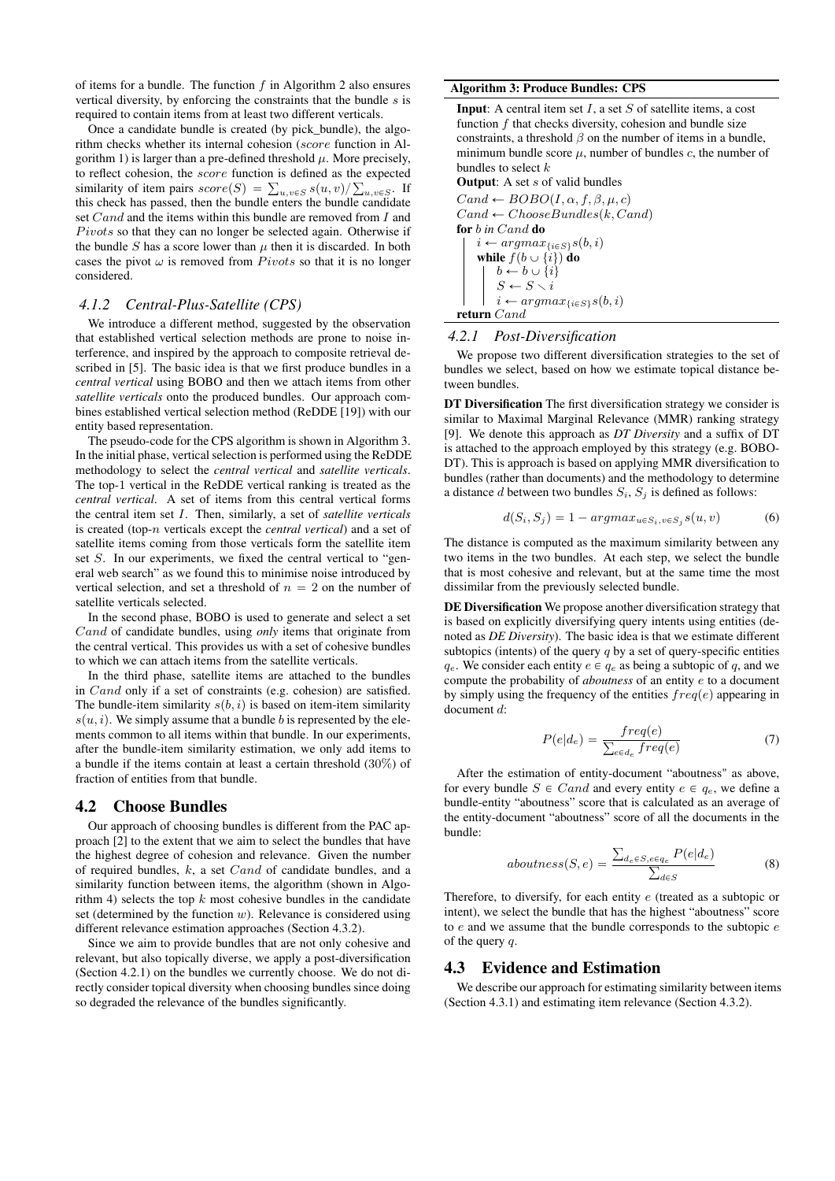of items for a bundle. The function  $f$  in Algorithm 2 also ensures vertical diversity, by enforcing the constraints that the bundle  $s$  is required to contain items from at least two different verticals.

Once a candidate bundle is created (by pick\_bundle), the algorithm checks whether its internal cohesion (score function in Algorithm 1) is larger than a pre-defined threshold  $\mu$ . More precisely, to reflect cohesion, the score function is defined as the expected to reflect cohesion, the *score* function is defined as the expected<br>similarity of item pairs  $score(S) = \sum_{u,v \in S} s(u,v)/\sum_{u,v \in S}$ . If this check has passed, then the bundle enters the bundle candidate set Cand and the items within this bundle are removed from I and  $Pivots$  so that they can no longer be selected again. Otherwise if the bundle  $S$  has a score lower than  $\mu$  then it is discarded. In both cases the pivot  $\omega$  is removed from *Pivots* so that it is no longer considered.

#### *4.1.2 Central-Plus-Satellite (CPS)*

We introduce a different method, suggested by the observation that established vertical selection methods are prone to noise interference, and inspired by the approach to composite retrieval described in [5]. The basic idea is that we first produce bundles in a *central vertical* using BOBO and then we attach items from other *satellite verticals* onto the produced bundles. Our approach combines established vertical selection method (ReDDE [19]) with our entity based representation.

The pseudo-code for the CPS algorithm is shown in Algorithm 3. In the initial phase, vertical selection is performed using the ReDDE methodology to select the *central vertical* and *satellite verticals*. The top-1 vertical in the ReDDE vertical ranking is treated as the *central vertical*. A set of items from this central vertical forms the central item set I. Then, similarly, a set of *satellite verticals* is created (top-n verticals except the *central vertical*) and a set of satellite items coming from those verticals form the satellite item set S. In our experiments, we fixed the central vertical to "general web search" as we found this to minimise noise introduced by vertical selection, and set a threshold of  $n = 2$  on the number of satellite verticals selected.

In the second phase, BOBO is used to generate and select a set Cand of candidate bundles, using *only* items that originate from the central vertical. This provides us with a set of cohesive bundles to which we can attach items from the satellite verticals.

In the third phase, satellite items are attached to the bundles in Cand only if a set of constraints (e.g. cohesion) are satisfied. The bundle-item similarity  $s(b, i)$  is based on item-item similarity  $s(u, i)$ . We simply assume that a bundle b is represented by the elements common to all items within that bundle. In our experiments, after the bundle-item similarity estimation, we only add items to a bundle if the items contain at least a certain threshold (30%) of fraction of entities from that bundle.

#### 4.2 Choose Bundles

Our approach of choosing bundles is different from the PAC approach [2] to the extent that we aim to select the bundles that have the highest degree of cohesion and relevance. Given the number of required bundles, k, a set Cand of candidate bundles, and a similarity function between items, the algorithm (shown in Algorithm 4) selects the top  $k$  most cohesive bundles in the candidate set (determined by the function  $w$ ). Relevance is considered using different relevance estimation approaches (Section 4.3.2).

Since we aim to provide bundles that are not only cohesive and relevant, but also topically diverse, we apply a post-diversification (Section 4.2.1) on the bundles we currently choose. We do not directly consider topical diversity when choosing bundles since doing so degraded the relevance of the bundles significantly.

#### Algorithm 3: Produce Bundles: CPS

**Input:** A central item set  $I$ , a set  $S$  of satellite items, a cost function  $f$  that checks diversity, cohesion and bundle size constraints, a threshold  $\beta$  on the number of items in a bundle. minimum bundle score  $\mu$ , number of bundles c, the number of bundles to select  $k$ 

**Output:** A set  $s$  of valid bundles

 $Cand \leftarrow BOBO(I, \alpha, f, \beta, \mu, c)$  $Cand \leftarrow ChooseBundles(k, Cand)$ for b *in* Cand do  $i \leftarrow argmax_{\{i \in S\}}s(b, i)$ while  $f(b \cup \{i\})$  do  $b \leftarrow b \cup \{i\}$  $S \leftarrow S \smallsetminus i$  $i \leftarrow argmax_{\{i \in S\}}s(b, i)$ return Cand

#### *4.2.1 Post-Diversification*

We propose two different diversification strategies to the set of bundles we select, based on how we estimate topical distance between bundles.

DT Diversification The first diversification strategy we consider is similar to Maximal Marginal Relevance (MMR) ranking strategy [9]. We denote this approach as *DT Diversity* and a suffix of DT is attached to the approach employed by this strategy (e.g. BOBO-DT). This is approach is based on applying MMR diversification to bundles (rather than documents) and the methodology to determine a distance d between two bundles  $S_i$ ,  $S_j$  is defined as follows:

$$
d(S_i, S_j) = 1 - argmax_{u \in S_i, v \in S_j} s(u, v)
$$
\n<sup>(6)</sup>

The distance is computed as the maximum similarity between any two items in the two bundles. At each step, we select the bundle that is most cohesive and relevant, but at the same time the most dissimilar from the previously selected bundle.

DE Diversification We propose another diversification strategy that is based on explicitly diversifying query intents using entities (denoted as *DE Diversity*). The basic idea is that we estimate different subtopics (intents) of the query  $q$  by a set of query-specific entities  $q_e$ . We consider each entity  $e \in q_e$  as being a subtopic of q, and we compute the probability of *aboutness* of an entity e to a document by simply using the frequency of the entities  $freq(e)$  appearing in document d:

$$
P(e|d_e) = \frac{freq(e)}{\sum_{e \in d_e} freq(e)}
$$
(7)

After the estimation of entity-document "aboutness" as above, for every bundle  $S \in Cand$  and every entity  $e \in q_e$ , we define a bundle-entity "aboutness" score that is calculated as an average of the entity-document "aboutness" score of all the documents in the bundle:

$$
aboutness(S, e) = \frac{\sum_{d_e \in S, e \in q_e} P(e|d_e)}{\sum_{d \in S}}
$$
(8)

Therefore, to diversify, for each entity e (treated as a subtopic or intent), we select the bundle that has the highest "aboutness" score to e and we assume that the bundle corresponds to the subtopic e of the query q.

#### 4.3 Evidence and Estimation

We describe our approach for estimating similarity between items (Section 4.3.1) and estimating item relevance (Section 4.3.2).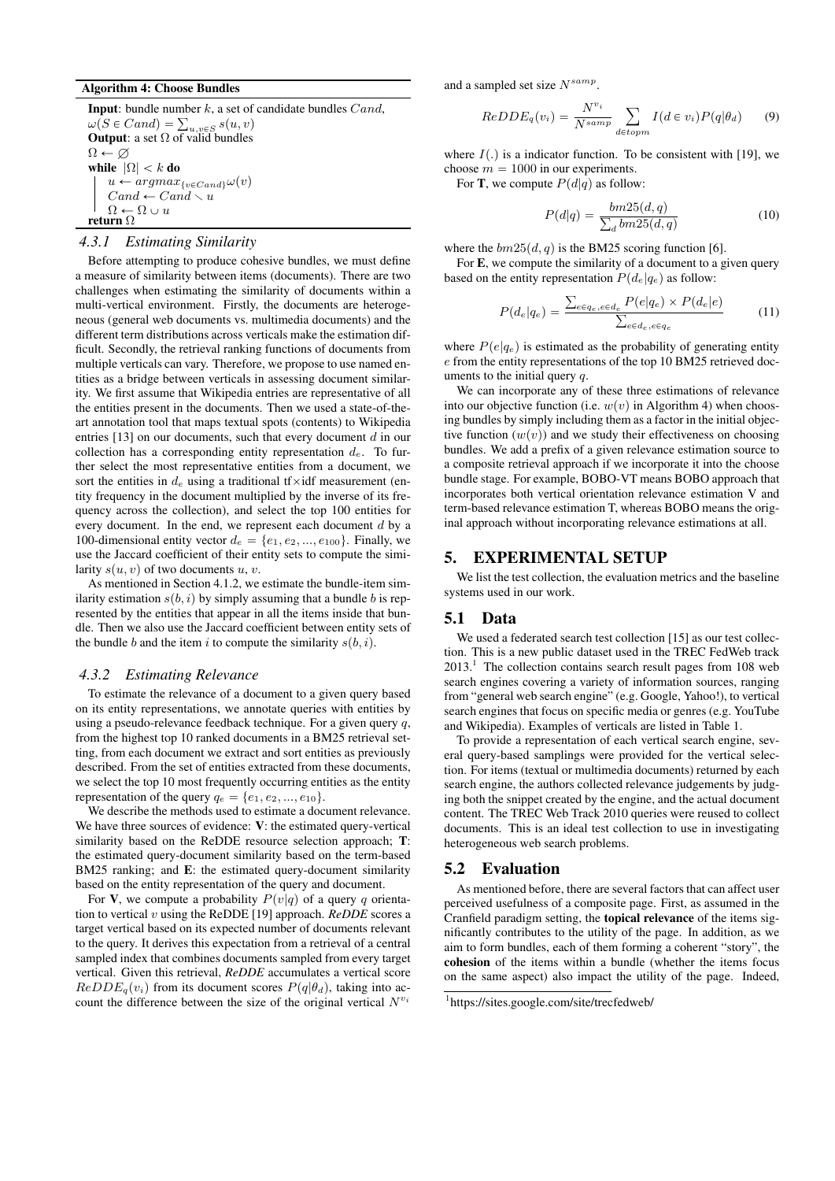#### Algorithm 4: Choose Bundles

**Input:** bundle number  $k$ , a set of candidate bundles  $Cand$ , **Input:** bundle number k, a set of  $\omega(S \in Cand) = \sum_{u,v \in S} s(u,v)$ **Output:** a set  $\Omega$  of valid bundles  $\Omega \leftarrow \varnothing$ while  $|\Omega| < k$  do  $u \leftarrow argmax_{\{v \in Cand\}} \omega(v)$  $Cand \leftarrow Cand \setminus u$  $\Omega \leftarrow \Omega \cup u$ return  $\Omega$ 

#### *4.3.1 Estimating Similarity*

Before attempting to produce cohesive bundles, we must define a measure of similarity between items (documents). There are two challenges when estimating the similarity of documents within a multi-vertical environment. Firstly, the documents are heterogeneous (general web documents vs. multimedia documents) and the different term distributions across verticals make the estimation difficult. Secondly, the retrieval ranking functions of documents from multiple verticals can vary. Therefore, we propose to use named entities as a bridge between verticals in assessing document similarity. We first assume that Wikipedia entries are representative of all the entities present in the documents. Then we used a state-of-theart annotation tool that maps textual spots (contents) to Wikipedia entries [13] on our documents, such that every document  $d$  in our collection has a corresponding entity representation  $d_e$ . To further select the most representative entities from a document, we sort the entities in  $d_e$  using a traditional tf×idf measurement (entity frequency in the document multiplied by the inverse of its frequency across the collection), and select the top 100 entities for every document. In the end, we represent each document  $d$  by a 100-dimensional entity vector  $d_e = \{e_1, e_2, ..., e_{100}\}\.$  Finally, we use the Jaccard coefficient of their entity sets to compute the similarity  $s(u, v)$  of two documents u, v.

As mentioned in Section 4.1.2, we estimate the bundle-item similarity estimation  $s(b, i)$  by simply assuming that a bundle b is represented by the entities that appear in all the items inside that bundle. Then we also use the Jaccard coefficient between entity sets of the bundle b and the item i to compute the similarity  $s(b, i)$ .

#### *4.3.2 Estimating Relevance*

To estimate the relevance of a document to a given query based on its entity representations, we annotate queries with entities by using a pseudo-relevance feedback technique. For a given query q, from the highest top 10 ranked documents in a BM25 retrieval setting, from each document we extract and sort entities as previously described. From the set of entities extracted from these documents, we select the top 10 most frequently occurring entities as the entity representation of the query  $q_e = \{e_1, e_2, ..., e_{10}\}.$ 

We describe the methods used to estimate a document relevance. We have three sources of evidence: V: the estimated query-vertical similarity based on the ReDDE resource selection approach; T: the estimated query-document similarity based on the term-based BM25 ranking; and E: the estimated query-document similarity based on the entity representation of the query and document.

For V, we compute a probability  $P(v|q)$  of a query q orientation to vertical v using the ReDDE [19] approach. *ReDDE* scores a target vertical based on its expected number of documents relevant to the query. It derives this expectation from a retrieval of a central sampled index that combines documents sampled from every target vertical. Given this retrieval, *ReDDE* accumulates a vertical score  $ReDDE_q(v_i)$  from its document scores  $P(q|\theta_d)$ , taking into account the difference between the size of the original vertical  $N^{v_i}$ 

and a sampled set size  $N^{samp}$ .

$$
ReDDE_q(v_i) = \frac{N^{v_i}}{N^{samp}} \sum_{d \in topm} I(d \in v_i) P(q | \theta_d)
$$
 (9)

where  $I(.)$  is a indicator function. To be consistent with [19], we choose  $m = 1000$  in our experiments.

For **T**, we compute  $P(d|q)$  as follow:

$$
P(d|q) = \frac{bm25(d,q)}{\sum_{d}bm25(d,q)}
$$
(10)

where the  $bm25(d, q)$  is the BM25 scoring function [6].

For **E**, we compute the similarity of a document to a given query based on the entity representation  $P(d_e|q_e)$  as follow:

$$
P(d_e|q_e) = \frac{\sum_{e \in q_e, e \in d_e} P(e|q_e) \times P(d_e|e)}{\sum_{e \in d_e, e \in q_e} \tag{11}
$$

where  $P(e|q_e)$  is estimated as the probability of generating entity e from the entity representations of the top 10 BM25 retrieved documents to the initial query  $q$ .

We can incorporate any of these three estimations of relevance into our objective function (i.e.  $w(v)$  in Algorithm 4) when choosing bundles by simply including them as a factor in the initial objective function  $(w(v))$  and we study their effectiveness on choosing bundles. We add a prefix of a given relevance estimation source to a composite retrieval approach if we incorporate it into the choose bundle stage. For example, BOBO-VT means BOBO approach that incorporates both vertical orientation relevance estimation V and term-based relevance estimation T, whereas BOBO means the original approach without incorporating relevance estimations at all.

### 5. EXPERIMENTAL SETUP

We list the test collection, the evaluation metrics and the baseline systems used in our work.

#### 5.1 Data

We used a federated search test collection [15] as our test collection. This is a new public dataset used in the TREC FedWeb track 2013.<sup>1</sup> The collection contains search result pages from 108 web search engines covering a variety of information sources, ranging from "general web search engine" (e.g. Google, Yahoo!), to vertical search engines that focus on specific media or genres (e.g. YouTube and Wikipedia). Examples of verticals are listed in Table 1.

To provide a representation of each vertical search engine, several query-based samplings were provided for the vertical selection. For items (textual or multimedia documents) returned by each search engine, the authors collected relevance judgements by judging both the snippet created by the engine, and the actual document content. The TREC Web Track 2010 queries were reused to collect documents. This is an ideal test collection to use in investigating heterogeneous web search problems.

#### 5.2 Evaluation

As mentioned before, there are several factors that can affect user perceived usefulness of a composite page. First, as assumed in the Cranfield paradigm setting, the topical relevance of the items significantly contributes to the utility of the page. In addition, as we aim to form bundles, each of them forming a coherent "story", the cohesion of the items within a bundle (whether the items focus on the same aspect) also impact the utility of the page. Indeed,

<sup>1</sup> https://sites.google.com/site/trecfedweb/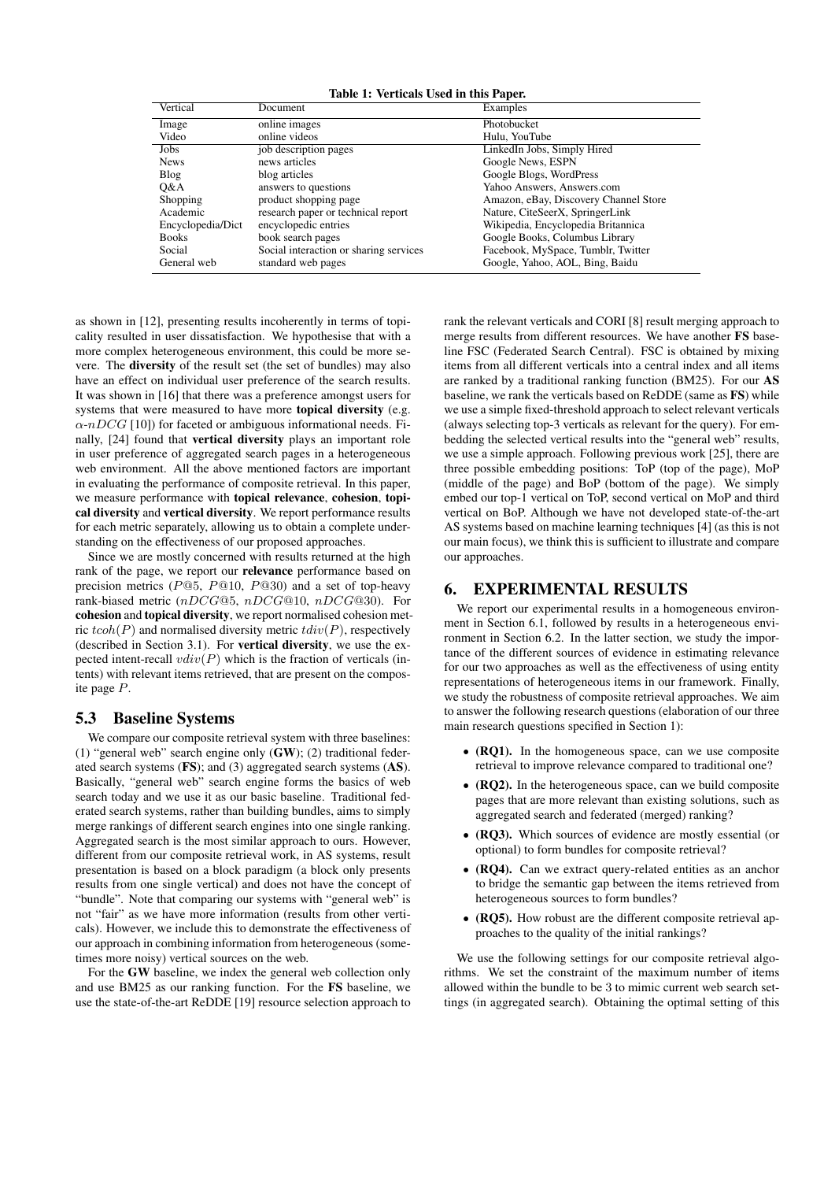Table 1: Verticals Used in this Paper.

| Vertical          | Document                               | Examples                              |
|-------------------|----------------------------------------|---------------------------------------|
| Image             | online images                          | Photobucket                           |
| Video             | online videos                          | Hulu, YouTube                         |
| Jobs              | job description pages                  | LinkedIn Jobs, Simply Hired           |
| <b>News</b>       | news articles                          | Google News, ESPN                     |
| <b>Blog</b>       | blog articles                          | Google Blogs, WordPress               |
| 0&A               | answers to questions                   | Yahoo Answers, Answers.com            |
| Shopping          | product shopping page                  | Amazon, eBay, Discovery Channel Store |
| Academic          | research paper or technical report     | Nature, CiteSeerX, SpringerLink       |
| Encyclopedia/Dict | encyclopedic entries                   | Wikipedia, Encyclopedia Britannica    |
| <b>Books</b>      | book search pages                      | Google Books, Columbus Library        |
| Social            | Social interaction or sharing services | Facebook, MySpace, Tumblr, Twitter    |
| General web       | standard web pages                     | Google, Yahoo, AOL, Bing, Baidu       |

as shown in [12], presenting results incoherently in terms of topicality resulted in user dissatisfaction. We hypothesise that with a more complex heterogeneous environment, this could be more severe. The diversity of the result set (the set of bundles) may also have an effect on individual user preference of the search results. It was shown in [16] that there was a preference amongst users for systems that were measured to have more **topical diversity** (e.g.  $\alpha$ -nDCG [10]) for faceted or ambiguous informational needs. Finally, [24] found that vertical diversity plays an important role in user preference of aggregated search pages in a heterogeneous web environment. All the above mentioned factors are important in evaluating the performance of composite retrieval. In this paper, we measure performance with topical relevance, cohesion, topical diversity and vertical diversity. We report performance results for each metric separately, allowing us to obtain a complete understanding on the effectiveness of our proposed approaches.

Since we are mostly concerned with results returned at the high rank of the page, we report our relevance performance based on precision metrics (P@5, P@10, P@30) and a set of top-heavy rank-biased metric (nDCG@5, nDCG@10, nDCG@30). For cohesion and topical diversity, we report normalised cohesion metric  $tcoh(P)$  and normalised diversity metric  $tdiv(P)$ , respectively (described in Section 3.1). For vertical diversity, we use the expected intent-recall  $vdiv(P)$  which is the fraction of verticals (intents) with relevant items retrieved, that are present on the composite page P.

### 5.3 Baseline Systems

We compare our composite retrieval system with three baselines: (1) "general web" search engine only  $(GW)$ ; (2) traditional federated search systems (FS); and (3) aggregated search systems (AS). Basically, "general web" search engine forms the basics of web search today and we use it as our basic baseline. Traditional federated search systems, rather than building bundles, aims to simply merge rankings of different search engines into one single ranking. Aggregated search is the most similar approach to ours. However, different from our composite retrieval work, in AS systems, result presentation is based on a block paradigm (a block only presents results from one single vertical) and does not have the concept of "bundle". Note that comparing our systems with "general web" is not "fair" as we have more information (results from other verticals). However, we include this to demonstrate the effectiveness of our approach in combining information from heterogeneous (sometimes more noisy) vertical sources on the web.

For the GW baseline, we index the general web collection only and use BM25 as our ranking function. For the FS baseline, we use the state-of-the-art ReDDE [19] resource selection approach to

rank the relevant verticals and CORI [8] result merging approach to merge results from different resources. We have another FS baseline FSC (Federated Search Central). FSC is obtained by mixing items from all different verticals into a central index and all items are ranked by a traditional ranking function (BM25). For our AS baseline, we rank the verticals based on ReDDE (same as FS) while we use a simple fixed-threshold approach to select relevant verticals (always selecting top-3 verticals as relevant for the query). For embedding the selected vertical results into the "general web" results, we use a simple approach. Following previous work [25], there are three possible embedding positions: ToP (top of the page), MoP (middle of the page) and BoP (bottom of the page). We simply embed our top-1 vertical on ToP, second vertical on MoP and third vertical on BoP. Although we have not developed state-of-the-art AS systems based on machine learning techniques [4] (as this is not our main focus), we think this is sufficient to illustrate and compare our approaches.

# 6. EXPERIMENTAL RESULTS

We report our experimental results in a homogeneous environment in Section 6.1, followed by results in a heterogeneous environment in Section 6.2. In the latter section, we study the importance of the different sources of evidence in estimating relevance for our two approaches as well as the effectiveness of using entity representations of heterogeneous items in our framework. Finally, we study the robustness of composite retrieval approaches. We aim to answer the following research questions (elaboration of our three main research questions specified in Section 1):

- ' (RQ1). In the homogeneous space, can we use composite retrieval to improve relevance compared to traditional one?
- ' (RQ2). In the heterogeneous space, can we build composite pages that are more relevant than existing solutions, such as aggregated search and federated (merged) ranking?
- ' (RQ3). Which sources of evidence are mostly essential (or optional) to form bundles for composite retrieval?
- ' (RQ4). Can we extract query-related entities as an anchor to bridge the semantic gap between the items retrieved from heterogeneous sources to form bundles?
- (RO5). How robust are the different composite retrieval approaches to the quality of the initial rankings?

We use the following settings for our composite retrieval algorithms. We set the constraint of the maximum number of items allowed within the bundle to be 3 to mimic current web search settings (in aggregated search). Obtaining the optimal setting of this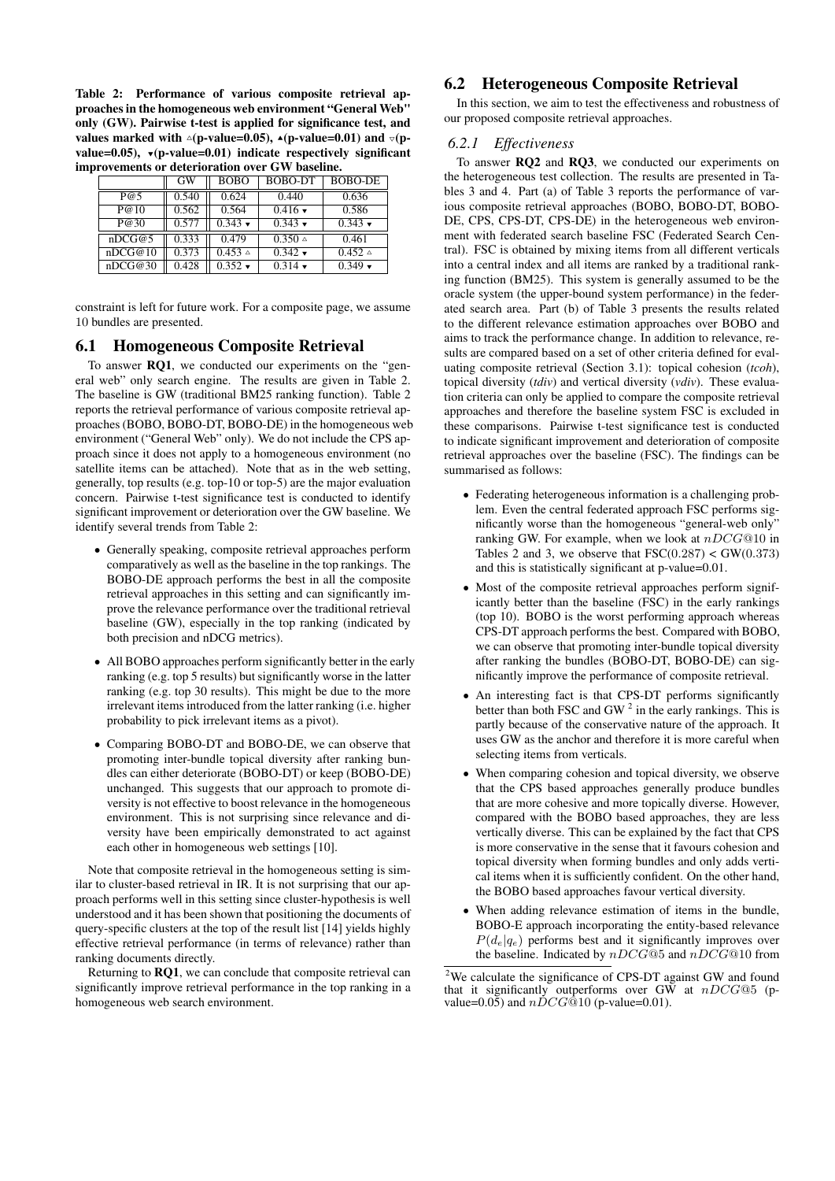Table 2: Performance of various composite retrieval approaches in the homogeneous web environment "General Web" only (GW). Pairwise t-test is applied for significance test, and values marked with  $\triangle(p$ -value=0.05),  $\triangle(p$ -value=0.01) and  $\triangledown(p$ value=0.05),  $\mathbf{v}(\mathbf{p}\text{-value}=0.01)$  indicate respectively significant improvements or deterioration over GW baseline.

|         | GW    | <b>BOBO</b>       | <b>BOBO-DT</b>    | <b>BOBO-DE</b>    |
|---------|-------|-------------------|-------------------|-------------------|
| P@5     | 0.540 | 0.624             | 0.440             | 0.636             |
| P@10    | 0.562 | 0.564             | $0.416 \; \star$  | 0.586             |
| P@30    | 0.577 | $0.343 \times$    | $0.343 \times$    | $0.343 \times$    |
| nDCG@5  | 0.333 | 0.479             | $0.350 \triangle$ | 0.461             |
| nDCG@10 | 0.373 | $0.453 \triangle$ | $0.342 \times$    | $0.452 \triangle$ |
| nDCG@30 | 0.428 | $0.352 +$         | $0.314 +$         | $0.349 +$         |

constraint is left for future work. For a composite page, we assume 10 bundles are presented.

### 6.1 Homogeneous Composite Retrieval

To answer RQ1, we conducted our experiments on the "general web" only search engine. The results are given in Table 2. The baseline is GW (traditional BM25 ranking function). Table 2 reports the retrieval performance of various composite retrieval approaches (BOBO, BOBO-DT, BOBO-DE) in the homogeneous web environment ("General Web" only). We do not include the CPS approach since it does not apply to a homogeneous environment (no satellite items can be attached). Note that as in the web setting, generally, top results (e.g. top-10 or top-5) are the major evaluation concern. Pairwise t-test significance test is conducted to identify significant improvement or deterioration over the GW baseline. We identify several trends from Table 2:

- ' Generally speaking, composite retrieval approaches perform comparatively as well as the baseline in the top rankings. The BOBO-DE approach performs the best in all the composite retrieval approaches in this setting and can significantly improve the relevance performance over the traditional retrieval baseline (GW), especially in the top ranking (indicated by both precision and nDCG metrics).
- ' All BOBO approaches perform significantly better in the early ranking (e.g. top 5 results) but significantly worse in the latter ranking (e.g. top 30 results). This might be due to the more irrelevant items introduced from the latter ranking (i.e. higher probability to pick irrelevant items as a pivot).
- ' Comparing BOBO-DT and BOBO-DE, we can observe that promoting inter-bundle topical diversity after ranking bundles can either deteriorate (BOBO-DT) or keep (BOBO-DE) unchanged. This suggests that our approach to promote diversity is not effective to boost relevance in the homogeneous environment. This is not surprising since relevance and diversity have been empirically demonstrated to act against each other in homogeneous web settings [10].

Note that composite retrieval in the homogeneous setting is similar to cluster-based retrieval in IR. It is not surprising that our approach performs well in this setting since cluster-hypothesis is well understood and it has been shown that positioning the documents of query-specific clusters at the top of the result list [14] yields highly effective retrieval performance (in terms of relevance) rather than ranking documents directly.

Returning to RQ1, we can conclude that composite retrieval can significantly improve retrieval performance in the top ranking in a homogeneous web search environment.

# 6.2 Heterogeneous Composite Retrieval

In this section, we aim to test the effectiveness and robustness of our proposed composite retrieval approaches.

#### *6.2.1 Effectiveness*

To answer RQ2 and RQ3, we conducted our experiments on the heterogeneous test collection. The results are presented in Tables 3 and 4. Part (a) of Table 3 reports the performance of various composite retrieval approaches (BOBO, BOBO-DT, BOBO-DE, CPS, CPS-DT, CPS-DE) in the heterogeneous web environment with federated search baseline FSC (Federated Search Central). FSC is obtained by mixing items from all different verticals into a central index and all items are ranked by a traditional ranking function (BM25). This system is generally assumed to be the oracle system (the upper-bound system performance) in the federated search area. Part (b) of Table 3 presents the results related to the different relevance estimation approaches over BOBO and aims to track the performance change. In addition to relevance, results are compared based on a set of other criteria defined for evaluating composite retrieval (Section 3.1): topical cohesion (*tcoh*), topical diversity (*tdiv*) and vertical diversity (*vdiv*). These evaluation criteria can only be applied to compare the composite retrieval approaches and therefore the baseline system FSC is excluded in these comparisons. Pairwise t-test significance test is conducted to indicate significant improvement and deterioration of composite retrieval approaches over the baseline (FSC). The findings can be summarised as follows:

- ' Federating heterogeneous information is a challenging problem. Even the central federated approach FSC performs significantly worse than the homogeneous "general-web only" ranking GW. For example, when we look at  $nDCG@10$  in Tables 2 and 3, we observe that  $FSC(0.287) < GW(0.373)$ and this is statistically significant at p-value=0.01.
- ' Most of the composite retrieval approaches perform significantly better than the baseline (FSC) in the early rankings (top 10). BOBO is the worst performing approach whereas CPS-DT approach performs the best. Compared with BOBO, we can observe that promoting inter-bundle topical diversity after ranking the bundles (BOBO-DT, BOBO-DE) can significantly improve the performance of composite retrieval.
- ' An interesting fact is that CPS-DT performs significantly better than both FSC and GW $<sup>2</sup>$  in the early rankings. This is</sup> partly because of the conservative nature of the approach. It uses GW as the anchor and therefore it is more careful when selecting items from verticals.
- ' When comparing cohesion and topical diversity, we observe that the CPS based approaches generally produce bundles that are more cohesive and more topically diverse. However, compared with the BOBO based approaches, they are less vertically diverse. This can be explained by the fact that CPS is more conservative in the sense that it favours cohesion and topical diversity when forming bundles and only adds vertical items when it is sufficiently confident. On the other hand, the BOBO based approaches favour vertical diversity.
- ' When adding relevance estimation of items in the bundle, BOBO-E approach incorporating the entity-based relevance  $P(d_e|q_e)$  performs best and it significantly improves over the baseline. Indicated by  $nDCG@5$  and  $nDCG@10$  from

<sup>2</sup>We calculate the significance of CPS-DT against GW and found that it significantly outperforms over GW at  $nDCG@5$  (pvalue=0.05) and  $nDCG@10$  (p-value=0.01).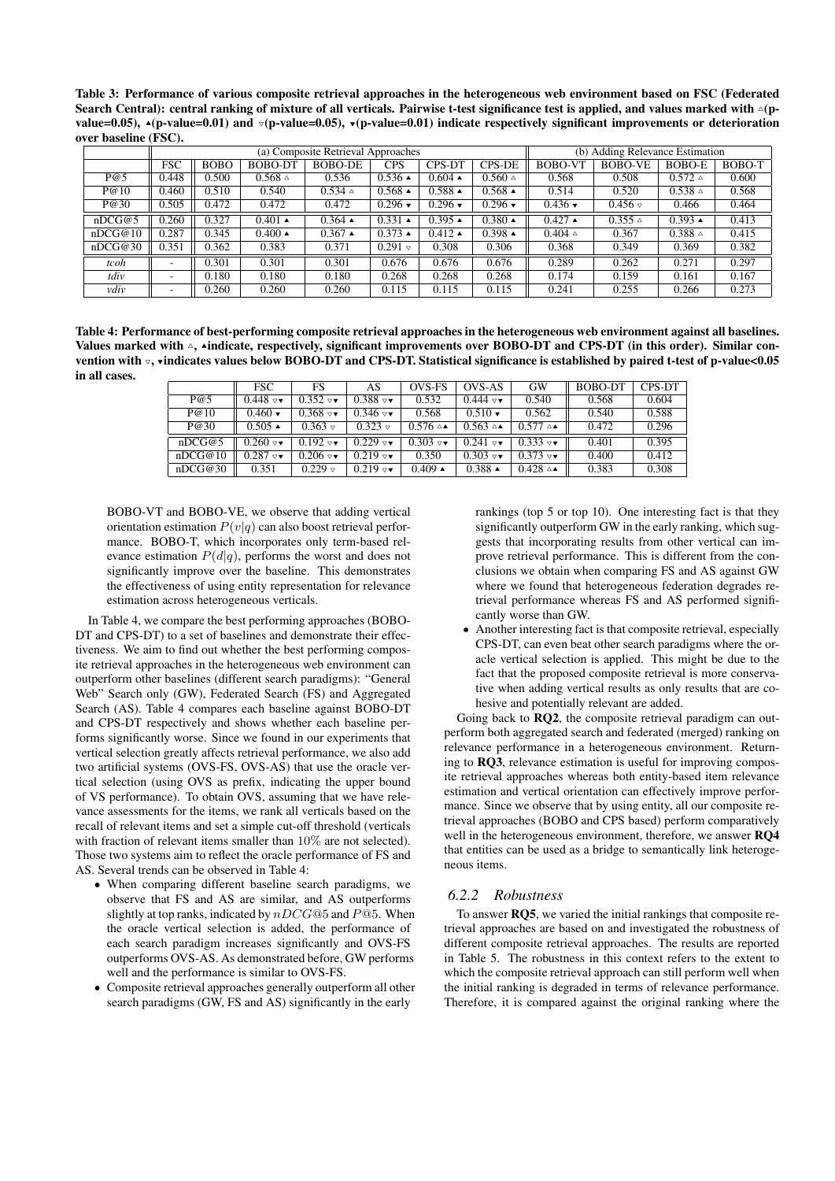Table 3: Performance of various composite retrieval approaches in the heterogeneous web environment based on FSC (Federated Search Central): central ranking of mixture of all verticals. Pairwise t-test significance test is applied, and values marked with  $\triangle (p-1)$ value=0.05),  $\triangle$ (p-value=0.01) and  $\triangledown$ (p-value=0.05),  $\triangledown$ (p-value=0.01) indicate respectively significant improvements or deterioration over baseline (FSC).

|         | (a) Composite Retrieval Approaches |               |                   |                    |                           |                    | (b) Adding Relevance Estimation |                   |                   |                   |        |
|---------|------------------------------------|---------------|-------------------|--------------------|---------------------------|--------------------|---------------------------------|-------------------|-------------------|-------------------|--------|
|         | <b>FSC</b>                         | <b>BOBO</b>   | BOBO-DT           | <b>BOBO-DE</b>     | <b>CPS</b>                | CPS-DT             | CPS-DE                          | <b>BOBO-VT</b>    | <b>BOBO-VE</b>    | BOBO-E            | BOBO-T |
| P@5     | 0.448                              | 0.500         | $0.568 \triangle$ | 0.536              | $0.536 \triangle$         | $0.604 \triangle$  | $0.560 \triangle$               | 0.568             | 0.508             | $0.572 \triangle$ | 0.600  |
| P@10    | 0.460                              | 0.510         | 0.540             | $0.534 \triangle$  | $0.568 \triangle$         | $0.588 \triangleq$ | $0.568 \triangle$               | 0.514             | 0.520             | $0.538 \triangle$ | 0.568  |
| P@30    | 0.505                              | 0.472         | 0.472             | 0.472              | $0.296 \star$             | $0.296 \star$      | $0.296 \star$                   | $0.436 \star$     | $0.456 \times$    | 0.466             | 0.464  |
| nDCG@5  | 0.260                              | $\sqrt{.327}$ | $0.401 \triangle$ | $0.364 \triangle$  | 0.331<br>$\blacktriangle$ | $0.395 \triangleq$ | $0.380 \triangle$               | $0.427 \triangle$ | $0.355 \triangle$ | $0.393 \triangle$ | 0.413  |
| nDCG@10 | 0.287                              | 0.345         | $0.400 \triangle$ | $0.367 \triangleq$ | $0.373 \triangle$         | $0.412 \triangle$  | $0.398 \triangle$               | $0.404 \triangle$ | 0.367             | $0.388 \triangle$ | 0.415  |
| nDCG@30 | 0.351                              | 0.362         | 0.383             | 0.371              | $0.291 =$                 | 0.308              | 0.306                           | 0.368             | 0.349             | 0.369             | 0.382  |
| tcoh    |                                    | ).301         | 0.301             | 0.301              | 0.676                     | 0.676              | 0.676                           | 0.289             | 0.262             | 0.271             | 0.297  |
| tdiv    |                                    | 0.180         | 0.180             | 0.180              | 0.268                     | 0.268              | 0.268                           | 0.174             | 0.159             | 0.161             | 0.167  |
| vdiv    | -                                  | 0.260         | 0.260             | 0.260              | 0.115                     | 0.115              | 0.115                           | 0.241             | 0.255             | 0.266             | 0.273  |

Table 4: Performance of best-performing composite retrieval approaches in the heterogeneous web environment against all baselines. Values marked with  $\triangle$ ,  $\triangle$  indicate, respectively, significant improvements over BOBO-DT and CPS-DT (in this order). Similar convention with  $\nabla$ , vindicates values below BOBO-DT and CPS-DT. Statistical significance is established by paired t-test of p-value<0.05 in all cases.

|         | <b>FSC</b>                             | FS                      | AS                                     | <b>OVS-FS</b>                    | OVS-AS                  | GW                      | <b>BOBO-DT</b> | CPS-DT |
|---------|----------------------------------------|-------------------------|----------------------------------------|----------------------------------|-------------------------|-------------------------|----------------|--------|
| P@5     | $0.448 \vee$                           | $0.352 \vee \mathbf{v}$ | $0.388 \vee \mathbf{v}$                | 0.532                            | $0.444 \,\mathrm{v}$    | 0.540                   | 0.568          | 0.604  |
| P@10    | $0.460 \; \star$                       | $0.368 \,\mathrm{v}$    | $0.346 \,\mathrm{v}$                   | 0.568                            | $0.510 +$               | 0.562                   | 0.540          | 0.588  |
| P@30    | $0.505 \triangle$                      | $0.363 \; \text{v}$     | $0.323 \times$                         | $0.576 \triangle \blacktriangle$ | $0.563 \triangle$       | $0.577 \triangle$       | 0.472          | 0.296  |
| nDCG@5  | $0.260 \,\mathrm{v}$                   | $0.192 \vee \mathbf{v}$ | $0.229$ $\forall$ $\blacktriangledown$ | $0.303 \vee \mathbf{v}$          | $0.241$ $\triangledown$ | $0.333 \vee \mathbf{v}$ | 0.401          | 0.395  |
| nDCG@10 | $0.287$ $\forall$ $\blacktriangledown$ | $0.206 \,\mathrm{v}$    | $0.219 \,\mathrm{v}$                   | 0.350                            | $0.303 \,\mathrm{v}$    | $0.373 \,\mathrm{v}$    | 0.400          | 0.412  |
| nDCG@30 | 0.351                                  | $0.229$ $\triangledown$ | $0.219 \,\mathrm{v}$                   | $0.409 \triangle$                | $0.388 \triangle$       | $0.428 \triangle$       | 0.383          | 0.308  |

BOBO-VT and BOBO-VE, we observe that adding vertical orientation estimation  $P(v|q)$  can also boost retrieval performance. BOBO-T, which incorporates only term-based relevance estimation  $P(d|q)$ , performs the worst and does not significantly improve over the baseline. This demonstrates the effectiveness of using entity representation for relevance estimation across heterogeneous verticals.

In Table 4, we compare the best performing approaches (BOBO-DT and CPS-DT) to a set of baselines and demonstrate their effectiveness. We aim to find out whether the best performing composite retrieval approaches in the heterogeneous web environment can outperform other baselines (different search paradigms): "General Web" Search only (GW), Federated Search (FS) and Aggregated Search (AS). Table 4 compares each baseline against BOBO-DT and CPS-DT respectively and shows whether each baseline performs significantly worse. Since we found in our experiments that vertical selection greatly affects retrieval performance, we also add two artificial systems (OVS-FS, OVS-AS) that use the oracle vertical selection (using OVS as prefix, indicating the upper bound of VS performance). To obtain OVS, assuming that we have relevance assessments for the items, we rank all verticals based on the recall of relevant items and set a simple cut-off threshold (verticals with fraction of relevant items smaller than 10% are not selected). Those two systems aim to reflect the oracle performance of FS and AS. Several trends can be observed in Table 4:

- ' When comparing different baseline search paradigms, we observe that FS and AS are similar, and AS outperforms slightly at top ranks, indicated by  $nDCG@5$  and  $P@5$ . When the oracle vertical selection is added, the performance of each search paradigm increases significantly and OVS-FS outperforms OVS-AS. As demonstrated before, GW performs well and the performance is similar to OVS-FS.
- ' Composite retrieval approaches generally outperform all other search paradigms (GW, FS and AS) significantly in the early

rankings (top 5 or top 10). One interesting fact is that they significantly outperform GW in the early ranking, which suggests that incorporating results from other vertical can improve retrieval performance. This is different from the conclusions we obtain when comparing FS and AS against GW where we found that heterogeneous federation degrades retrieval performance whereas FS and AS performed significantly worse than GW.

' Another interesting fact is that composite retrieval, especially CPS-DT, can even beat other search paradigms where the oracle vertical selection is applied. This might be due to the fact that the proposed composite retrieval is more conservative when adding vertical results as only results that are cohesive and potentially relevant are added.

Going back to RQ2, the composite retrieval paradigm can outperform both aggregated search and federated (merged) ranking on relevance performance in a heterogeneous environment. Returning to RQ3, relevance estimation is useful for improving composite retrieval approaches whereas both entity-based item relevance estimation and vertical orientation can effectively improve performance. Since we observe that by using entity, all our composite retrieval approaches (BOBO and CPS based) perform comparatively well in the heterogeneous environment, therefore, we answer RO4 that entities can be used as a bridge to semantically link heterogeneous items.

#### *6.2.2 Robustness*

To answer RQ5, we varied the initial rankings that composite retrieval approaches are based on and investigated the robustness of different composite retrieval approaches. The results are reported in Table 5. The robustness in this context refers to the extent to which the composite retrieval approach can still perform well when the initial ranking is degraded in terms of relevance performance. Therefore, it is compared against the original ranking where the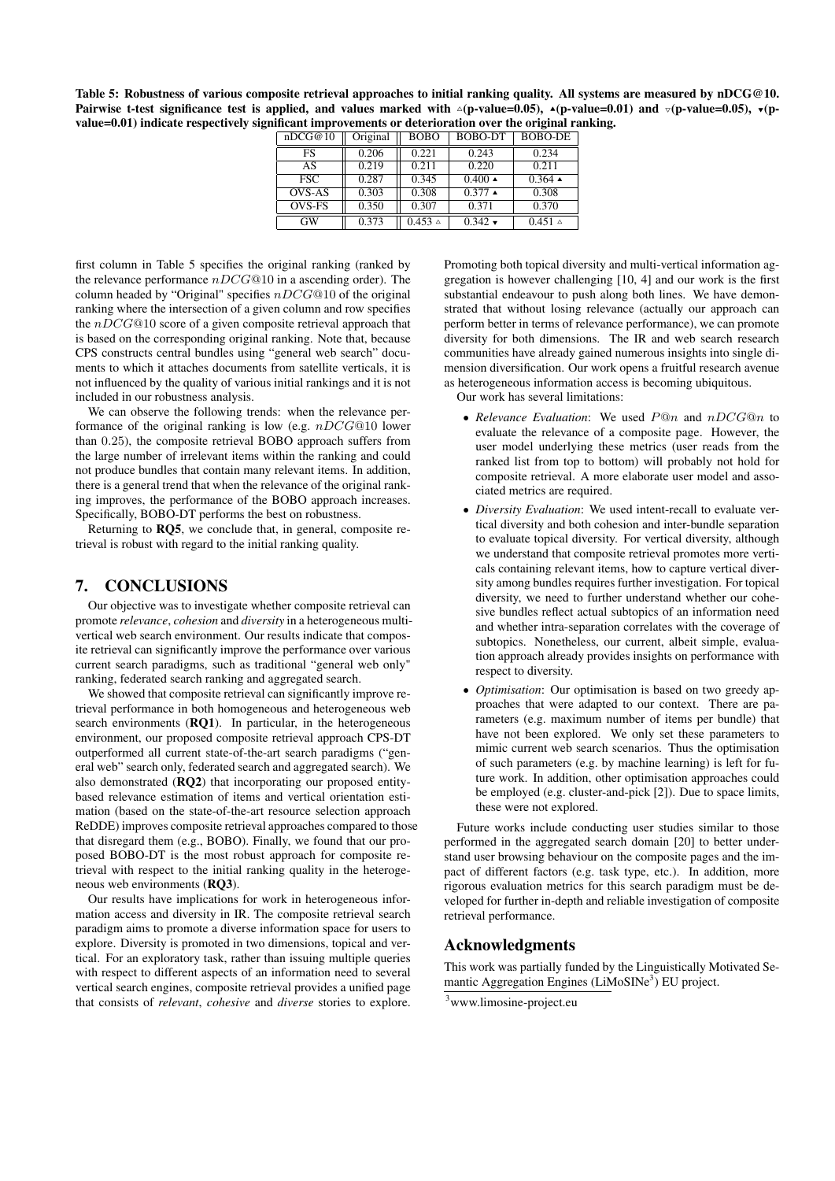Table 5: Robustness of various composite retrieval approaches to initial ranking quality. All systems are measured by nDCG@10. Pairwise t-test significance test is applied, and values marked with  $\triangle (p-value=0.05)$ ,  $\triangle (p-value=0.01)$  and  $\triangledown (p-value=0.05)$ ,  $\triangledown (p-value=0.05)$ value=0.01) indicate respectively significant improvements or deterioration over the original ranking.

| nDCG@10       | Original | <b>BOBO</b>       | BOBO-DT           | <b>BOBO-DE</b>    |
|---------------|----------|-------------------|-------------------|-------------------|
| FS            | 0.206    | 0.221             | 0.243             | 0.234             |
| AS            | 0.219    | 0.211             | 0.220             | 0.211             |
| <b>FSC</b>    | 0.287    | 0.345             | $0.400 \triangle$ | $0.364 \triangle$ |
| <b>OVS-AS</b> | 0.303    | 0.308             | $0.377 \triangle$ | 0.308             |
| <b>OVS-FS</b> | 0.350    | 0.307             | 0.371             | 0.370             |
| GW            | 0.373    | $0.453 \triangle$ | $0.342 \times$    | $0.451 \triangle$ |

first column in Table 5 specifies the original ranking (ranked by the relevance performance  $nDCG@10$  in a ascending order). The column headed by "Original" specifies  $nDCG@10$  of the original ranking where the intersection of a given column and row specifies the  $nDCG@10$  score of a given composite retrieval approach that is based on the corresponding original ranking. Note that, because CPS constructs central bundles using "general web search" documents to which it attaches documents from satellite verticals, it is not influenced by the quality of various initial rankings and it is not included in our robustness analysis.

We can observe the following trends: when the relevance performance of the original ranking is low (e.g.  $nDCG@10$  lower than 0.25), the composite retrieval BOBO approach suffers from the large number of irrelevant items within the ranking and could not produce bundles that contain many relevant items. In addition, there is a general trend that when the relevance of the original ranking improves, the performance of the BOBO approach increases. Specifically, BOBO-DT performs the best on robustness.

Returning to RQ5, we conclude that, in general, composite retrieval is robust with regard to the initial ranking quality.

# 7. CONCLUSIONS

Our objective was to investigate whether composite retrieval can promote *relevance*, *cohesion* and *diversity* in a heterogeneous multivertical web search environment. Our results indicate that composite retrieval can significantly improve the performance over various current search paradigms, such as traditional "general web only" ranking, federated search ranking and aggregated search.

We showed that composite retrieval can significantly improve retrieval performance in both homogeneous and heterogeneous web search environments (RQ1). In particular, in the heterogeneous environment, our proposed composite retrieval approach CPS-DT outperformed all current state-of-the-art search paradigms ("general web" search only, federated search and aggregated search). We also demonstrated (RQ2) that incorporating our proposed entitybased relevance estimation of items and vertical orientation estimation (based on the state-of-the-art resource selection approach ReDDE) improves composite retrieval approaches compared to those that disregard them (e.g., BOBO). Finally, we found that our proposed BOBO-DT is the most robust approach for composite retrieval with respect to the initial ranking quality in the heterogeneous web environments (RQ3).

Our results have implications for work in heterogeneous information access and diversity in IR. The composite retrieval search paradigm aims to promote a diverse information space for users to explore. Diversity is promoted in two dimensions, topical and vertical. For an exploratory task, rather than issuing multiple queries with respect to different aspects of an information need to several vertical search engines, composite retrieval provides a unified page that consists of *relevant*, *cohesive* and *diverse* stories to explore.

Promoting both topical diversity and multi-vertical information aggregation is however challenging [10, 4] and our work is the first substantial endeavour to push along both lines. We have demonstrated that without losing relevance (actually our approach can perform better in terms of relevance performance), we can promote diversity for both dimensions. The IR and web search research communities have already gained numerous insights into single dimension diversification. Our work opens a fruitful research avenue as heterogeneous information access is becoming ubiquitous.

Our work has several limitations:

- ' *Relevance Evaluation*: We used P@n and nDCG@n to evaluate the relevance of a composite page. However, the user model underlying these metrics (user reads from the ranked list from top to bottom) will probably not hold for composite retrieval. A more elaborate user model and associated metrics are required.
- ' *Diversity Evaluation*: We used intent-recall to evaluate vertical diversity and both cohesion and inter-bundle separation to evaluate topical diversity. For vertical diversity, although we understand that composite retrieval promotes more verticals containing relevant items, how to capture vertical diversity among bundles requires further investigation. For topical diversity, we need to further understand whether our cohesive bundles reflect actual subtopics of an information need and whether intra-separation correlates with the coverage of subtopics. Nonetheless, our current, albeit simple, evaluation approach already provides insights on performance with respect to diversity.
- ' *Optimisation*: Our optimisation is based on two greedy approaches that were adapted to our context. There are parameters (e.g. maximum number of items per bundle) that have not been explored. We only set these parameters to mimic current web search scenarios. Thus the optimisation of such parameters (e.g. by machine learning) is left for future work. In addition, other optimisation approaches could be employed (e.g. cluster-and-pick [2]). Due to space limits, these were not explored.

Future works include conducting user studies similar to those performed in the aggregated search domain [20] to better understand user browsing behaviour on the composite pages and the impact of different factors (e.g. task type, etc.). In addition, more rigorous evaluation metrics for this search paradigm must be developed for further in-depth and reliable investigation of composite retrieval performance.

# Acknowledgments

This work was partially funded by the Linguistically Motivated Semantic Aggregation Engines (LiMoSINe<sup>3</sup>) EU project.

<sup>&</sup>lt;sup>3</sup>www.limosine-project.eu